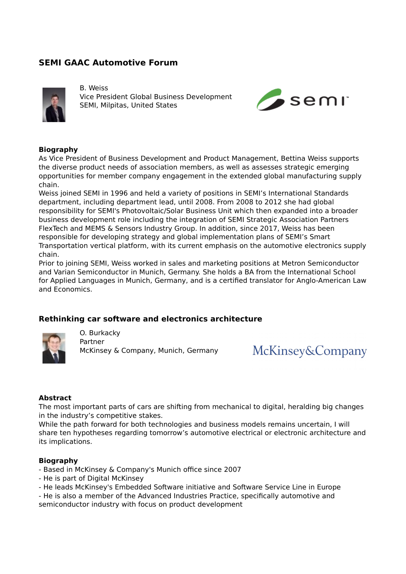# **SEMI GAAC Automotive Forum**



B. Weiss Vice President Global Business Development SEMI, Milpitas, United States



### **Biography**

As Vice President of Business Development and Product Management, Bettina Weiss supports the diverse product needs of association members, as well as assesses strategic emerging opportunities for member company engagement in the extended global manufacturing supply chain.

Weiss joined SEMI in 1996 and held a variety of positions in SEMI's International Standards department, including department lead, until 2008. From 2008 to 2012 she had global responsibility for SEMI's Photovoltaic/Solar Business Unit which then expanded into a broader business development role including the integration of SEMI Strategic Association Partners FlexTech and MEMS & Sensors Industry Group. In addition, since 2017, Weiss has been responsible for developing strategy and global implementation plans of SEMI's Smart Transportation vertical platform, with its current emphasis on the automotive electronics supply chain.

Prior to joining SEMI, Weiss worked in sales and marketing positions at Metron Semiconductor and Varian Semiconductor in Munich, Germany. She holds a BA from the International School for Applied Languages in Munich, Germany, and is a certified translator for Anglo-American Law and Economics.

## **Rethinking car software and electronics architecture**



O. Burkacky Partner McKinsey & Company, Munich, Germany

McKinsey&Company

#### **Abstract**

The most important parts of cars are shifting from mechanical to digital, heralding big changes in the industry's competitive stakes.

While the path forward for both technologies and business models remains uncertain, I will share ten hypotheses regarding tomorrow's automotive electrical or electronic architecture and its implications.

#### **Biography**

- Based in McKinsey & Company's Munich office since 2007
- He is part of Digital McKinsey
- He leads McKinsey's Embedded Software initiative and Software Service Line in Europe

- He is also a member of the Advanced Industries Practice, specifically automotive and semiconductor industry with focus on product development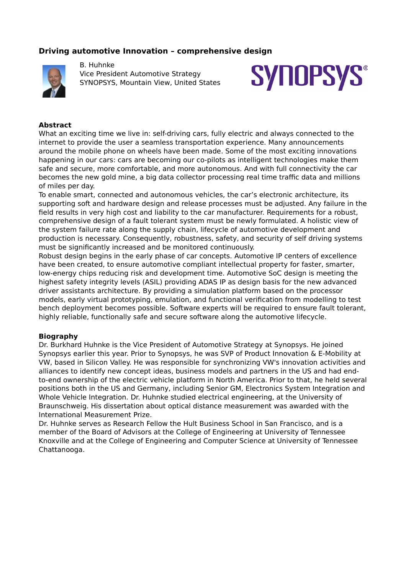## **Driving automotive Innovation – comprehensive design**



B. Huhnke Vice President Automotive Strategy SYNOPSYS, Mountain View, United States



#### **Abstract**

What an exciting time we live in: self-driving cars, fully electric and always connected to the internet to provide the user a seamless transportation experience. Many announcements around the mobile phone on wheels have been made. Some of the most exciting innovations happening in our cars: cars are becoming our co-pilots as intelligent technologies make them safe and secure, more comfortable, and more autonomous. And with full connectivity the car becomes the new gold mine, a big data collector processing real time traffic data and millions of miles per day.

To enable smart, connected and autonomous vehicles, the car's electronic architecture, its supporting soft and hardware design and release processes must be adjusted. Any failure in the field results in very high cost and liability to the car manufacturer. Requirements for a robust, comprehensive design of a fault tolerant system must be newly formulated. A holistic view of the system failure rate along the supply chain, lifecycle of automotive development and production is necessary. Consequently, robustness, safety, and security of self driving systems must be significantly increased and be monitored continuously.

Robust design begins in the early phase of car concepts. Automotive IP centers of excellence have been created, to ensure automotive compliant intellectual property for faster, smarter, low-energy chips reducing risk and development time. Automotive SoC design is meeting the highest safety integrity levels (ASIL) providing ADAS IP as design basis for the new advanced driver assistants architecture. By providing a simulation platform based on the processor models, early virtual prototyping, emulation, and functional verification from modelling to test bench deployment becomes possible. Software experts will be required to ensure fault tolerant, highly reliable, functionally safe and secure software along the automotive lifecycle.

### **Biography**

Dr. Burkhard Huhnke is the Vice President of Automotive Strategy at Synopsys. He joined Synopsys earlier this year. Prior to Synopsys, he was SVP of Product Innovation & E-Mobility at VW, based in Silicon Valley. He was responsible for synchronizing VW's innovation activities and alliances to identify new concept ideas, business models and partners in the US and had endto-end ownership of the electric vehicle platform in North America. Prior to that, he held several positions both in the US and Germany, including Senior GM, Electronics System Integration and Whole Vehicle Integration. Dr. Huhnke studied electrical engineering, at the University of Braunschweig. His dissertation about optical distance measurement was awarded with the International Measurement Prize.

Dr. Huhnke serves as Research Fellow the Hult Business School in San Francisco, and is a member of the Board of Advisors at the College of Engineering at University of Tennessee Knoxville and at the College of Engineering and Computer Science at University of Tennessee Chattanooga.